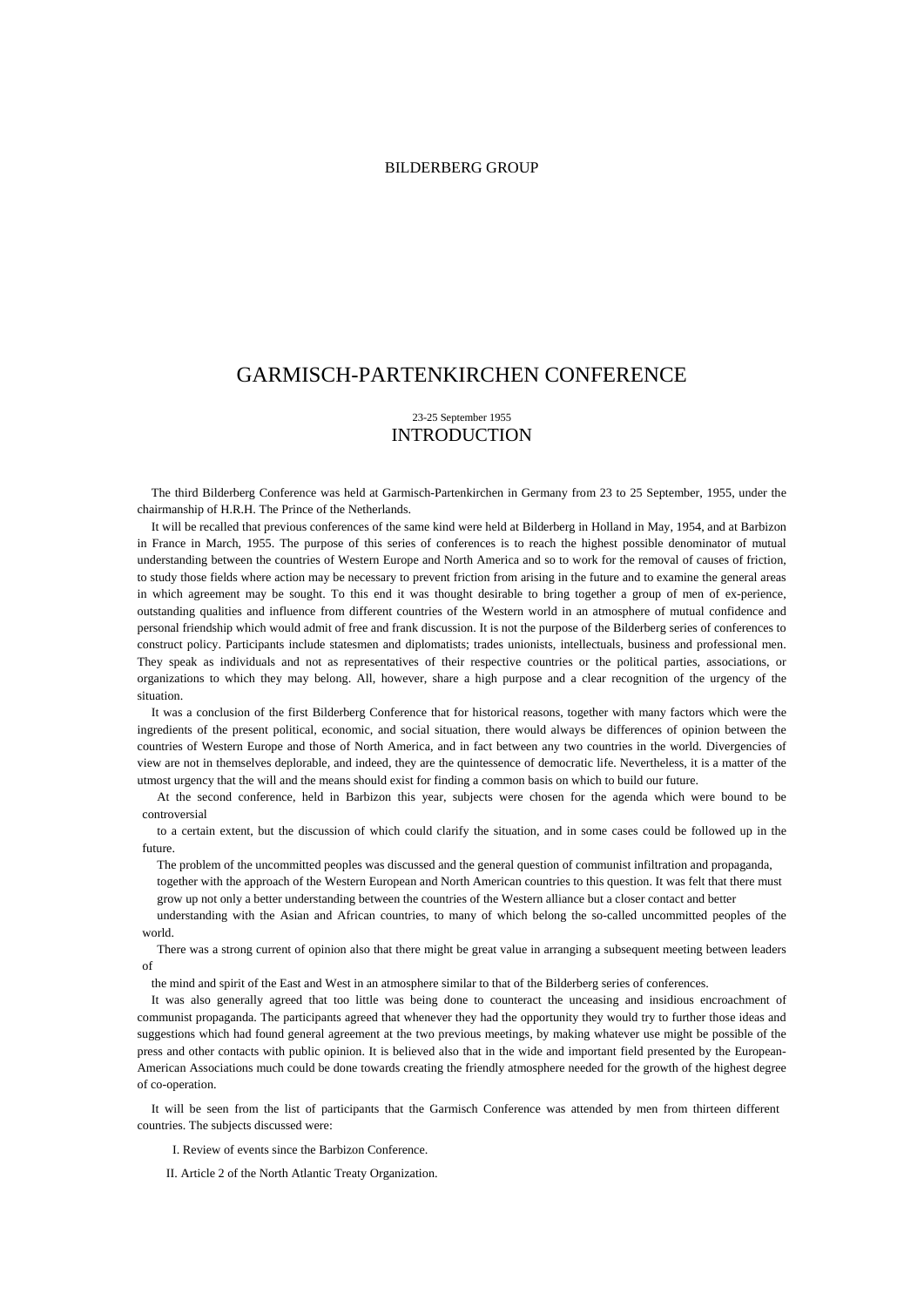## BILDERBERG GROUP

# GARMISCH-PARTENKIRCHEN CONFERENCE

## 23-25 September 1955 INTRODUCTION

The third Bilderberg Conference was held at Garmisch-Partenkirchen in Germany from 23 to 25 September, 1955, under the chairmanship of H.R.H. The Prince of the Netherlands.

It will be recalled that previous conferences of the same kind were held at Bilderberg in Holland in May, 1954, and at Barbizon in France in March, 1955. The purpose of this series of conferences is to reach the highest possible denominator of mutual understanding between the countries of Western Europe and North America and so to work for the removal of causes of friction, to study those fields where action may be necessary to prevent friction from arising in the future and to examine the general areas in which agreement may be sought. To this end it was thought desirable to bring together a group of men of ex-perience, outstanding qualities and influence from different countries of the Western world in an atmosphere of mutual confidence and personal friendship which would admit of free and frank discussion. It is not the purpose of the Bilderberg series of conferences to construct policy. Participants include statesmen and diplomatists; trades unionists, intellectuals, business and professional men. They speak as individuals and not as representatives of their respective countries or the political parties, associations, or organizations to which they may belong. All, however, share a high purpose and a clear recognition of the urgency of the situation.

It was a conclusion of the first Bilderberg Conference that for historical reasons, together with many factors which were the ingredients of the present political, economic, and social situation, there would always be differences of opinion between the countries of Western Europe and those of North America, and in fact between any two countries in the world. Divergencies of view are not in themselves deplorable, and indeed, they are the quintessence of democratic life. Nevertheless, it is a matter of the utmost urgency that the will and the means should exist for finding a common basis on which to build our future.

At the second conference, held in Barbizon this year, subjects were chosen for the agenda which were bound to be controversial

to a certain extent, but the discussion of which could clarify the situation, and in some cases could be followed up in the future.

The problem of the uncommitted peoples was discussed and the general question of communist infiltration and propaganda, together with the approach of the Western European and North American countries to this question. It was felt that there must

grow up not only a better understanding between the countries of the Western alliance but a closer contact and better

understanding with the Asian and African countries, to many of which belong the so-called uncommitted peoples of the world.

There was a strong current of opinion also that there might be great value in arranging a subsequent meeting between leaders of

the mind and spirit of the East and West in an atmosphere similar to that of the Bilderberg series of conferences.

It was also generally agreed that too little was being done to counteract the unceasing and insidious encroachment of communist propaganda. The participants agreed that whenever they had the opportunity they would try to further those ideas and suggestions which had found general agreement at the two previous meetings, by making whatever use might be possible of the press and other contacts with public opinion. It is believed also that in the wide and important field presented by the European-American Associations much could be done towards creating the friendly atmosphere needed for the growth of the highest degree of co-operation.

It will be seen from the list of participants that the Garmisch Conference was attended by men from thirteen different countries. The subjects discussed were:

I. Review of events since the Barbizon Conference.

II. Article 2 of the North Atlantic Treaty Organization.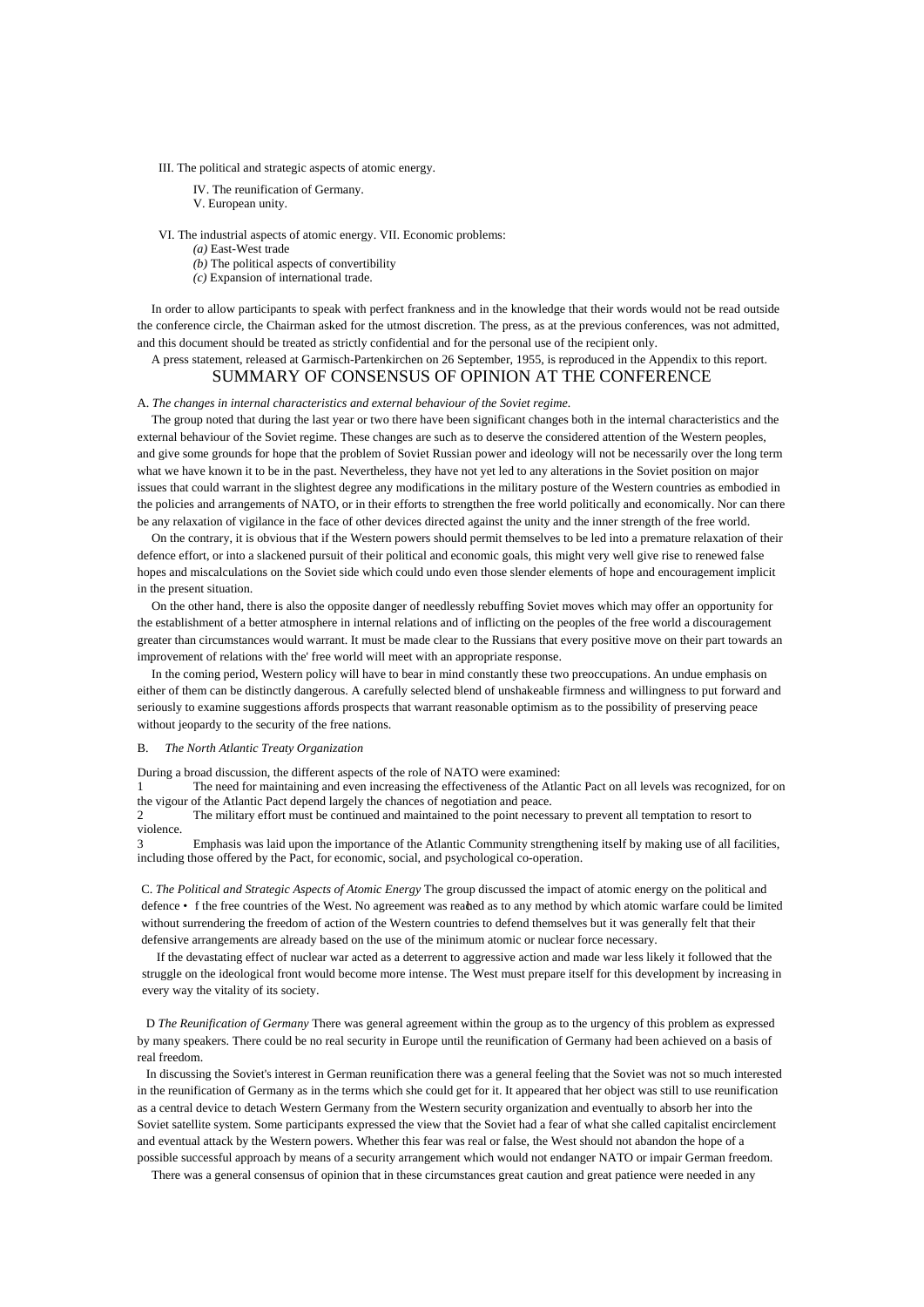III. The political and strategic aspects of atomic energy.

- IV. The reunification of Germany.
- V. European unity.

VI. The industrial aspects of atomic energy. VII. Economic problems:

- *(a)* East-West trade
- *(b)* The political aspects of convertibility
- *(c)* Expansion of international trade.

In order to allow participants to speak with perfect frankness and in the knowledge that their words would not be read outside the conference circle, the Chairman asked for the utmost discretion. The press, as at the previous conferences, was not admitted, and this document should be treated as strictly confidential and for the personal use of the recipient only.

## A press statement, released at Garmisch-Partenkirchen on 26 September, 1955, is reproduced in the Appendix to this report. SUMMARY OF CONSENSUS OF OPINION AT THE CONFERENCE

## A. *The changes in internal characteristics and external behaviour of the Soviet regime.*

The group noted that during the last year or two there have been significant changes both in the internal characteristics and the external behaviour of the Soviet regime. These changes are such as to deserve the considered attention of the Western peoples, and give some grounds for hope that the problem of Soviet Russian power and ideology will not be necessarily over the long term what we have known it to be in the past. Nevertheless, they have not yet led to any alterations in the Soviet position on major issues that could warrant in the slightest degree any modifications in the military posture of the Western countries as embodied in the policies and arrangements of NATO, or in their efforts to strengthen the free world politically and economically. Nor can there be any relaxation of vigilance in the face of other devices directed against the unity and the inner strength of the free world.

On the contrary, it is obvious that if the Western powers should permit themselves to be led into a premature relaxation of their defence effort, or into a slackened pursuit of their political and economic goals, this might very well give rise to renewed false hopes and miscalculations on the Soviet side which could undo even those slender elements of hope and encouragement implicit in the present situation.

On the other hand, there is also the opposite danger of needlessly rebuffing Soviet moves which may offer an opportunity for the establishment of a better atmosphere in internal relations and of inflicting on the peoples of the free world a discouragement greater than circumstances would warrant. It must be made clear to the Russians that every positive move on their part towards an improvement of relations with the' free world will meet with an appropriate response.

In the coming period, Western policy will have to bear in mind constantly these two preoccupations. An undue emphasis on either of them can be distinctly dangerous. A carefully selected blend of unshakeable firmness and willingness to put forward and seriously to examine suggestions affords prospects that warrant reasonable optimism as to the possibility of preserving peace without jeopardy to the security of the free nations.

#### B. *The North Atlantic Treaty Organization*

During a broad discussion, the different aspects of the role of NATO were examined:

1 The need for maintaining and even increasing the effectiveness of the Atlantic Pact on all levels was recognized, for on the vigour of the Atlantic Pact depend largely the chances of negotiation and peace.

2 The military effort must be continued and maintained to the point necessary to prevent all temptation to resort to violence.

3 Emphasis was laid upon the importance of the Atlantic Community strengthening itself by making use of all facilities, including those offered by the Pact, for economic, social, and psychological co-operation.

C. *The Political and Strategic Aspects of Atomic Energy* The group discussed the impact of atomic energy on the political and defence • f the free countries of the West. No agreement was realed as to any method by which atomic warfare could be limited without surrendering the freedom of action of the Western countries to defend themselves but it was generally felt that their defensive arrangements are already based on the use of the minimum atomic or nuclear force necessary.

If the devastating effect of nuclear war acted as a deterrent to aggressive action and made war less likely it followed that the struggle on the ideological front would become more intense. The West must prepare itself for this development by increasing in every way the vitality of its society.

D *The Reunification of Germany* There was general agreement within the group as to the urgency of this problem as expressed by many speakers. There could be no real security in Europe until the reunification of Germany had been achieved on a basis of real freedom.

In discussing the Soviet's interest in German reunification there was a general feeling that the Soviet was not so much interested in the reunification of Germany as in the terms which she could get for it. It appeared that her object was still to use reunification as a central device to detach Western Germany from the Western security organization and eventually to absorb her into the Soviet satellite system. Some participants expressed the view that the Soviet had a fear of what she called capitalist encirclement and eventual attack by the Western powers. Whether this fear was real or false, the West should not abandon the hope of a possible successful approach by means of a security arrangement which would not endanger NATO or impair German freedom.

There was a general consensus of opinion that in these circumstances great caution and great patience were needed in any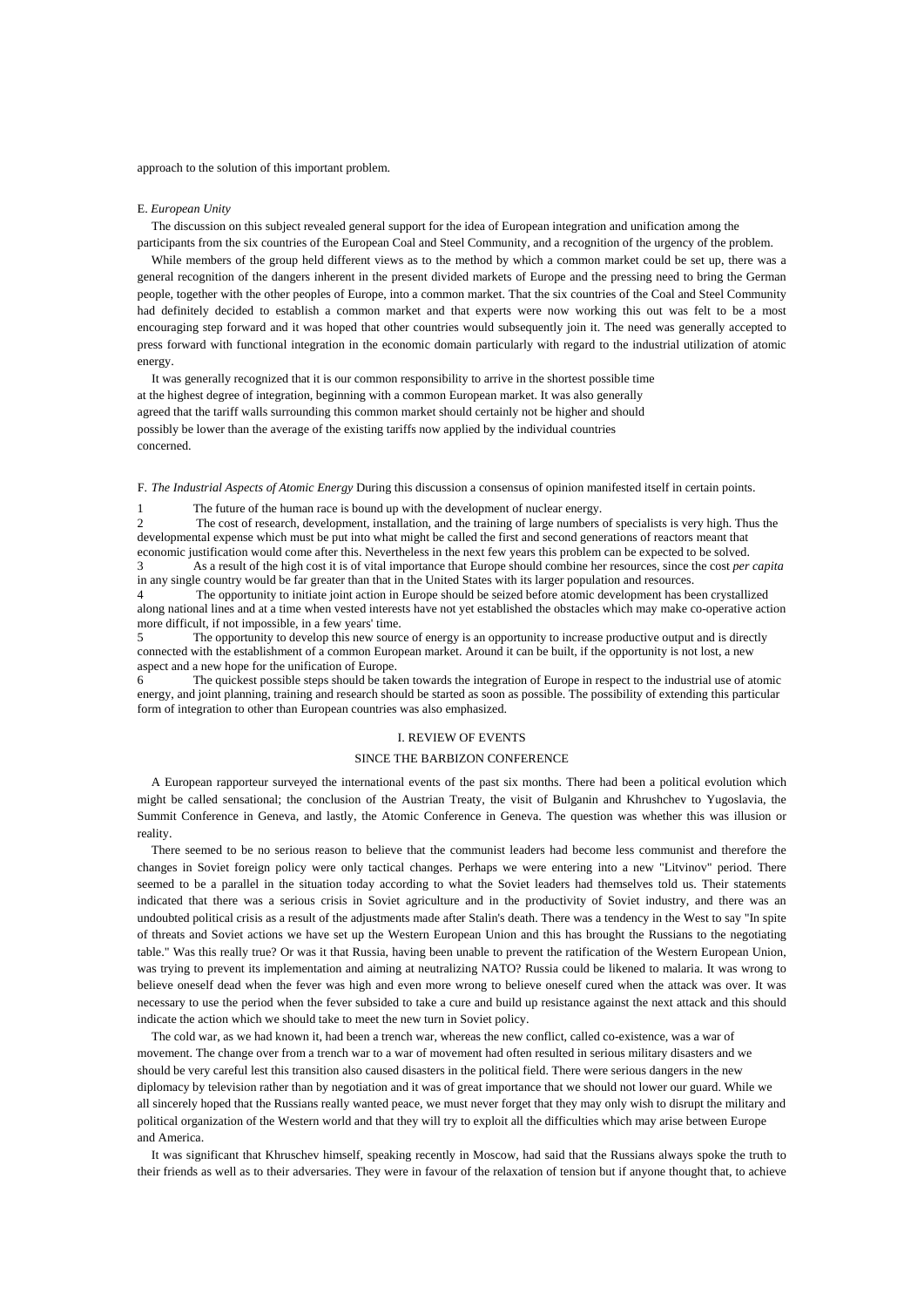approach to the solution of this important problem.

#### E. *European Unity*

The discussion on this subject revealed general support for the idea of European integration and unification among the participants from the six countries of the European Coal and Steel Community, and a recognition of the urgency of the problem.

While members of the group held different views as to the method by which a common market could be set up, there was a general recognition of the dangers inherent in the present divided markets of Europe and the pressing need to bring the German people, together with the other peoples of Europe, into a common market. That the six countries of the Coal and Steel Community had definitely decided to establish a common market and that experts were now working this out was felt to be a most encouraging step forward and it was hoped that other countries would subsequently join it. The need was generally accepted to press forward with functional integration in the economic domain particularly with regard to the industrial utilization of atomic energy.

It was generally recognized that it is our common responsibility to arrive in the shortest possible time at the highest degree of integration, beginning with a common European market. It was also generally agreed that the tariff walls surrounding this common market should certainly not be higher and should possibly be lower than the average of the existing tariffs now applied by the individual countries concerned.

F. *The Industrial Aspects of Atomic Energy* During this discussion a consensus of opinion manifested itself in certain points.

The future of the human race is bound up with the development of nuclear energy.

2 The cost of research, development, installation, and the training of large numbers of specialists is very high. Thus the developmental expense which must be put into what might be called the first and second generations of reactors meant that economic justification would come after this. Nevertheless in the next few years this problem can be expected to be solved.

3 As a result of the high cost it is of vital importance that Europe should combine her resources, since the cost *per capita*  in any single country would be far greater than that in the United States with its larger population and resources.

4 The opportunity to initiate joint action in Europe should be seized before atomic development has been crystallized along national lines and at a time when vested interests have not yet established the obstacles which may make co-operative action more difficult, if not impossible, in a few years' time.

5 The opportunity to develop this new source of energy is an opportunity to increase productive output and is directly connected with the establishment of a common European market. Around it can be built, if the opportunity is not lost, a new aspect and a new hope for the unification of Europe.

6 The quickest possible steps should be taken towards the integration of Europe in respect to the industrial use of atomic energy, and joint planning, training and research should be started as soon as possible. The possibility of extending this particular form of integration to other than European countries was also emphasized.

#### I. REVIEW OF EVENTS

## SINCE THE BARBIZON CONFERENCE

A European rapporteur surveyed the international events of the past six months. There had been a political evolution which might be called sensational; the conclusion of the Austrian Treaty, the visit of Bulganin and Khrushchev to Yugoslavia, the Summit Conference in Geneva, and lastly, the Atomic Conference in Geneva. The question was whether this was illusion or reality.

There seemed to be no serious reason to believe that the communist leaders had become less communist and therefore the changes in Soviet foreign policy were only tactical changes. Perhaps we were entering into a new "Litvinov" period. There seemed to be a parallel in the situation today according to what the Soviet leaders had themselves told us. Their statements indicated that there was a serious crisis in Soviet agriculture and in the productivity of Soviet industry, and there was an undoubted political crisis as a result of the adjustments made after Stalin's death. There was a tendency in the West to say "In spite of threats and Soviet actions we have set up the Western European Union and this has brought the Russians to the negotiating table." Was this really true? Or was it that Russia, having been unable to prevent the ratification of the Western European Union, was trying to prevent its implementation and aiming at neutralizing NATO? Russia could be likened to malaria. It was wrong to believe oneself dead when the fever was high and even more wrong to believe oneself cured when the attack was over. It was necessary to use the period when the fever subsided to take a cure and build up resistance against the next attack and this should indicate the action which we should take to meet the new turn in Soviet policy.

The cold war, as we had known it, had been a trench war, whereas the new conflict, called co-existence, was a war of movement. The change over from a trench war to a war of movement had often resulted in serious military disasters and we should be very careful lest this transition also caused disasters in the political field. There were serious dangers in the new diplomacy by television rather than by negotiation and it was of great importance that we should not lower our guard. While we all sincerely hoped that the Russians really wanted peace, we must never forget that they may only wish to disrupt the military and political organization of the Western world and that they will try to exploit all the difficulties which may arise between Europe and America.

It was significant that Khruschev himself, speaking recently in Moscow, had said that the Russians always spoke the truth to their friends as well as to their adversaries. They were in favour of the relaxation of tension but if anyone thought that, to achieve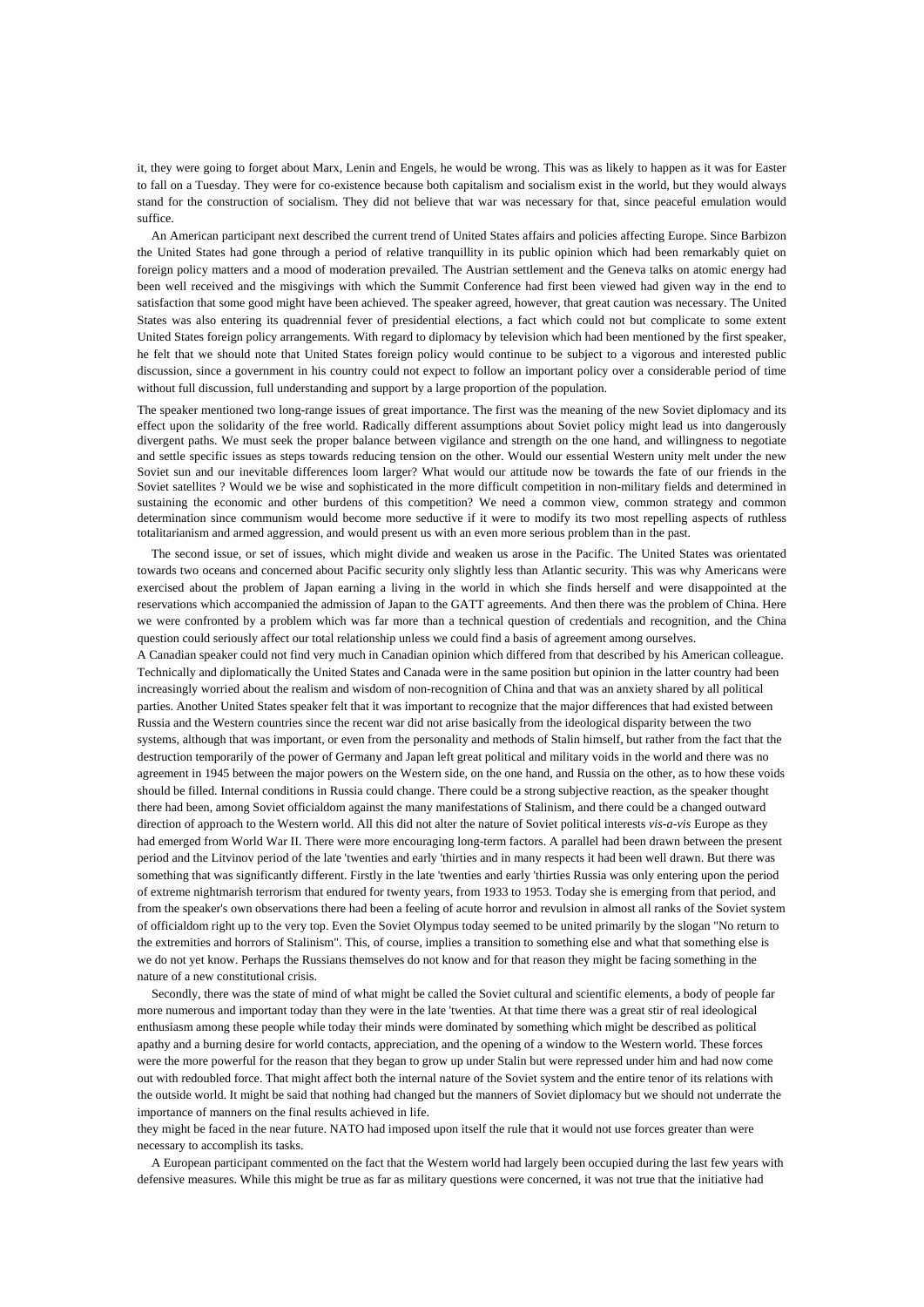it, they were going to forget about Marx, Lenin and Engels, he would be wrong. This was as likely to happen as it was for Easter to fall on a Tuesday. They were for co-existence because both capitalism and socialism exist in the world, but they would always stand for the construction of socialism. They did not believe that war was necessary for that, since peaceful emulation would suffice.

An American participant next described the current trend of United States affairs and policies affecting Europe. Since Barbizon the United States had gone through a period of relative tranquillity in its public opinion which had been remarkably quiet on foreign policy matters and a mood of moderation prevailed. The Austrian settlement and the Geneva talks on atomic energy had been well received and the misgivings with which the Summit Conference had first been viewed had given way in the end to satisfaction that some good might have been achieved. The speaker agreed, however, that great caution was necessary. The United States was also entering its quadrennial fever of presidential elections, a fact which could not but complicate to some extent United States foreign policy arrangements. With regard to diplomacy by television which had been mentioned by the first speaker, he felt that we should note that United States foreign policy would continue to be subject to a vigorous and interested public discussion, since a government in his country could not expect to follow an important policy over a considerable period of time without full discussion, full understanding and support by a large proportion of the population.

The speaker mentioned two long-range issues of great importance. The first was the meaning of the new Soviet diplomacy and its effect upon the solidarity of the free world. Radically different assumptions about Soviet policy might lead us into dangerously divergent paths. We must seek the proper balance between vigilance and strength on the one hand, and willingness to negotiate and settle specific issues as steps towards reducing tension on the other. Would our essential Western unity melt under the new Soviet sun and our inevitable differences loom larger? What would our attitude now be towards the fate of our friends in the Soviet satellites ? Would we be wise and sophisticated in the more difficult competition in non-military fields and determined in sustaining the economic and other burdens of this competition? We need a common view, common strategy and common determination since communism would become more seductive if it were to modify its two most repelling aspects of ruthless totalitarianism and armed aggression, and would present us with an even more serious problem than in the past.

The second issue, or set of issues, which might divide and weaken us arose in the Pacific. The United States was orientated towards two oceans and concerned about Pacific security only slightly less than Atlantic security. This was why Americans were exercised about the problem of Japan earning a living in the world in which she finds herself and were disappointed at the reservations which accompanied the admission of Japan to the GATT agreements. And then there was the problem of China. Here we were confronted by a problem which was far more than a technical question of credentials and recognition, and the China question could seriously affect our total relationship unless we could find a basis of agreement among ourselves.

A Canadian speaker could not find very much in Canadian opinion which differed from that described by his American colleague. Technically and diplomatically the United States and Canada were in the same position but opinion in the latter country had been increasingly worried about the realism and wisdom of non-recognition of China and that was an anxiety shared by all political parties. Another United States speaker felt that it was important to recognize that the major differences that had existed between Russia and the Western countries since the recent war did not arise basically from the ideological disparity between the two systems, although that was important, or even from the personality and methods of Stalin himself, but rather from the fact that the destruction temporarily of the power of Germany and Japan left great political and military voids in the world and there was no agreement in 1945 between the major powers on the Western side, on the one hand, and Russia on the other, as to how these voids should be filled. Internal conditions in Russia could change. There could be a strong subjective reaction, as the speaker thought there had been, among Soviet officialdom against the many manifestations of Stalinism, and there could be a changed outward direction of approach to the Western world. All this did not alter the nature of Soviet political interests *vis-a-vis* Europe as they had emerged from World War II. There were more encouraging long-term factors. A parallel had been drawn between the present period and the Litvinov period of the late 'twenties and early 'thirties and in many respects it had been well drawn. But there was something that was significantly different. Firstly in the late 'twenties and early 'thirties Russia was only entering upon the period of extreme nightmarish terrorism that endured for twenty years, from 1933 to 1953. Today she is emerging from that period, and from the speaker's own observations there had been a feeling of acute horror and revulsion in almost all ranks of the Soviet system of officialdom right up to the very top. Even the Soviet Olympus today seemed to be united primarily by the slogan "No return to the extremities and horrors of Stalinism". This, of course, implies a transition to something else and what that something else is we do not yet know. Perhaps the Russians themselves do not know and for that reason they might be facing something in the nature of a new constitutional crisis.

Secondly, there was the state of mind of what might be called the Soviet cultural and scientific elements, a body of people far more numerous and important today than they were in the late 'twenties. At that time there was a great stir of real ideological enthusiasm among these people while today their minds were dominated by something which might be described as political apathy and a burning desire for world contacts, appreciation, and the opening of a window to the Western world. These forces were the more powerful for the reason that they began to grow up under Stalin but were repressed under him and had now come out with redoubled force. That might affect both the internal nature of the Soviet system and the entire tenor of its relations with the outside world. It might be said that nothing had changed but the manners of Soviet diplomacy but we should not underrate the importance of manners on the final results achieved in life.

they might be faced in the near future. NATO had imposed upon itself the rule that it would not use forces greater than were necessary to accomplish its tasks.

A European participant commented on the fact that the Western world had largely been occupied during the last few years with defensive measures. While this might be true as far as military questions were concerned, it was not true that the initiative had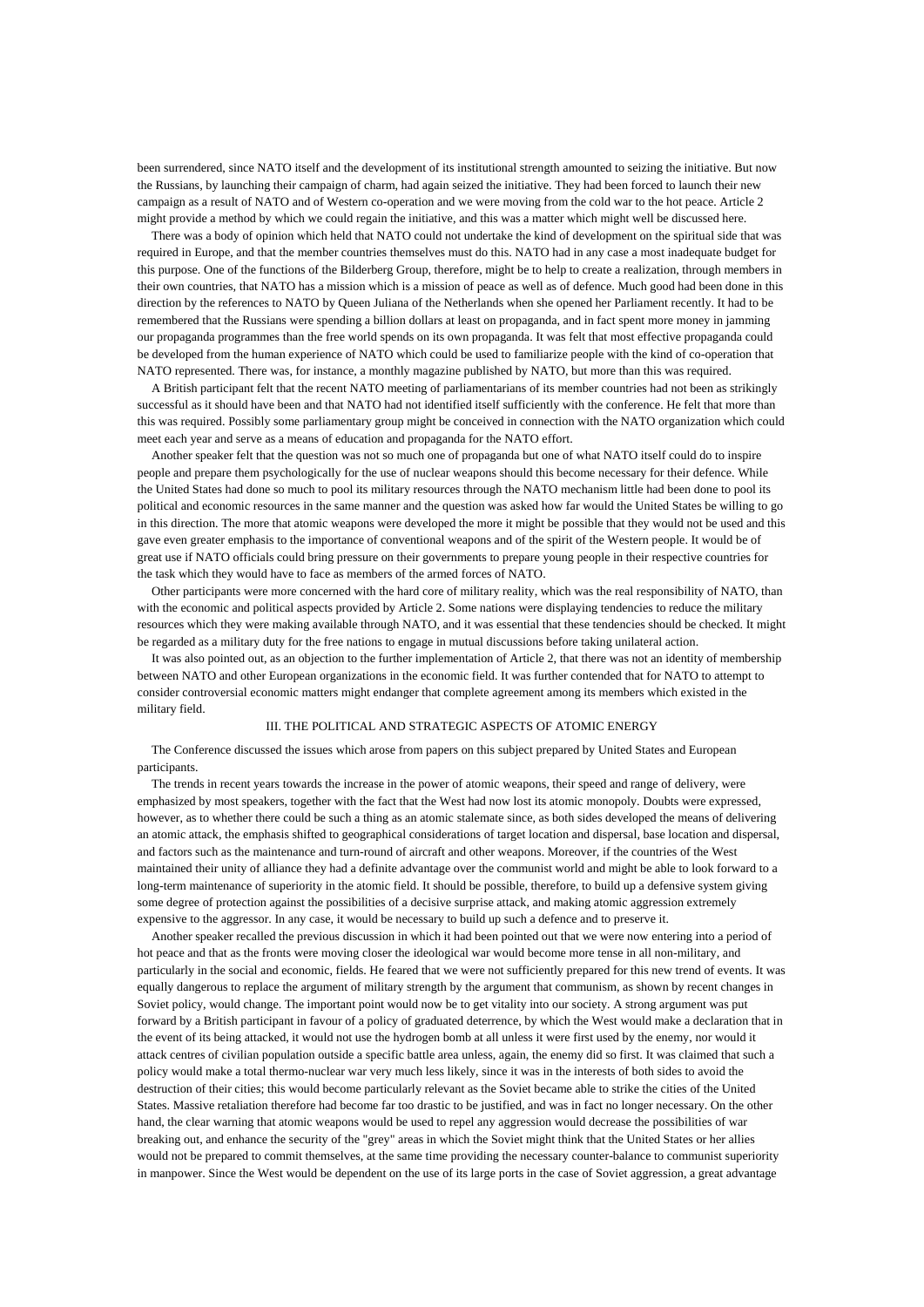been surrendered, since NATO itself and the development of its institutional strength amounted to seizing the initiative. But now the Russians, by launching their campaign of charm, had again seized the initiative. They had been forced to launch their new campaign as a result of NATO and of Western co-operation and we were moving from the cold war to the hot peace. Article 2 might provide a method by which we could regain the initiative, and this was a matter which might well be discussed here.

There was a body of opinion which held that NATO could not undertake the kind of development on the spiritual side that was required in Europe, and that the member countries themselves must do this. NATO had in any case a most inadequate budget for this purpose. One of the functions of the Bilderberg Group, therefore, might be to help to create a realization, through members in their own countries, that NATO has a mission which is a mission of peace as well as of defence. Much good had been done in this direction by the references to NATO by Queen Juliana of the Netherlands when she opened her Parliament recently. It had to be remembered that the Russians were spending a billion dollars at least on propaganda, and in fact spent more money in jamming our propaganda programmes than the free world spends on its own propaganda. It was felt that most effective propaganda could be developed from the human experience of NATO which could be used to familiarize people with the kind of co-operation that NATO represented. There was, for instance, a monthly magazine published by NATO, but more than this was required.

A British participant felt that the recent NATO meeting of parliamentarians of its member countries had not been as strikingly successful as it should have been and that NATO had not identified itself sufficiently with the conference. He felt that more than this was required. Possibly some parliamentary group might be conceived in connection with the NATO organization which could meet each year and serve as a means of education and propaganda for the NATO effort.

Another speaker felt that the question was not so much one of propaganda but one of what NATO itself could do to inspire people and prepare them psychologically for the use of nuclear weapons should this become necessary for their defence. While the United States had done so much to pool its military resources through the NATO mechanism little had been done to pool its political and economic resources in the same manner and the question was asked how far would the United States be willing to go in this direction. The more that atomic weapons were developed the more it might be possible that they would not be used and this gave even greater emphasis to the importance of conventional weapons and of the spirit of the Western people. It would be of great use if NATO officials could bring pressure on their governments to prepare young people in their respective countries for the task which they would have to face as members of the armed forces of NATO.

Other participants were more concerned with the hard core of military reality, which was the real responsibility of NATO, than with the economic and political aspects provided by Article 2. Some nations were displaying tendencies to reduce the military resources which they were making available through NATO, and it was essential that these tendencies should be checked. It might be regarded as a military duty for the free nations to engage in mutual discussions before taking unilateral action.

It was also pointed out, as an objection to the further implementation of Article 2, that there was not an identity of membership between NATO and other European organizations in the economic field. It was further contended that for NATO to attempt to consider controversial economic matters might endanger that complete agreement among its members which existed in the military field.

#### III. THE POLITICAL AND STRATEGIC ASPECTS OF ATOMIC ENERGY

The Conference discussed the issues which arose from papers on this subject prepared by United States and European participants.

The trends in recent years towards the increase in the power of atomic weapons, their speed and range of delivery, were emphasized by most speakers, together with the fact that the West had now lost its atomic monopoly. Doubts were expressed, however, as to whether there could be such a thing as an atomic stalemate since, as both sides developed the means of delivering an atomic attack, the emphasis shifted to geographical considerations of target location and dispersal, base location and dispersal, and factors such as the maintenance and turn-round of aircraft and other weapons. Moreover, if the countries of the West maintained their unity of alliance they had a definite advantage over the communist world and might be able to look forward to a long-term maintenance of superiority in the atomic field. It should be possible, therefore, to build up a defensive system giving some degree of protection against the possibilities of a decisive surprise attack, and making atomic aggression extremely expensive to the aggressor. In any case, it would be necessary to build up such a defence and to preserve it.

Another speaker recalled the previous discussion in which it had been pointed out that we were now entering into a period of hot peace and that as the fronts were moving closer the ideological war would become more tense in all non-military, and particularly in the social and economic, fields. He feared that we were not sufficiently prepared for this new trend of events. It was equally dangerous to replace the argument of military strength by the argument that communism, as shown by recent changes in Soviet policy, would change. The important point would now be to get vitality into our society. A strong argument was put forward by a British participant in favour of a policy of graduated deterrence, by which the West would make a declaration that in the event of its being attacked, it would not use the hydrogen bomb at all unless it were first used by the enemy, nor would it attack centres of civilian population outside a specific battle area unless, again, the enemy did so first. It was claimed that such a policy would make a total thermo-nuclear war very much less likely, since it was in the interests of both sides to avoid the destruction of their cities; this would become particularly relevant as the Soviet became able to strike the cities of the United States. Massive retaliation therefore had become far too drastic to be justified, and was in fact no longer necessary. On the other hand, the clear warning that atomic weapons would be used to repel any aggression would decrease the possibilities of war breaking out, and enhance the security of the "grey" areas in which the Soviet might think that the United States or her allies would not be prepared to commit themselves, at the same time providing the necessary counter-balance to communist superiority in manpower. Since the West would be dependent on the use of its large ports in the case of Soviet aggression, a great advantage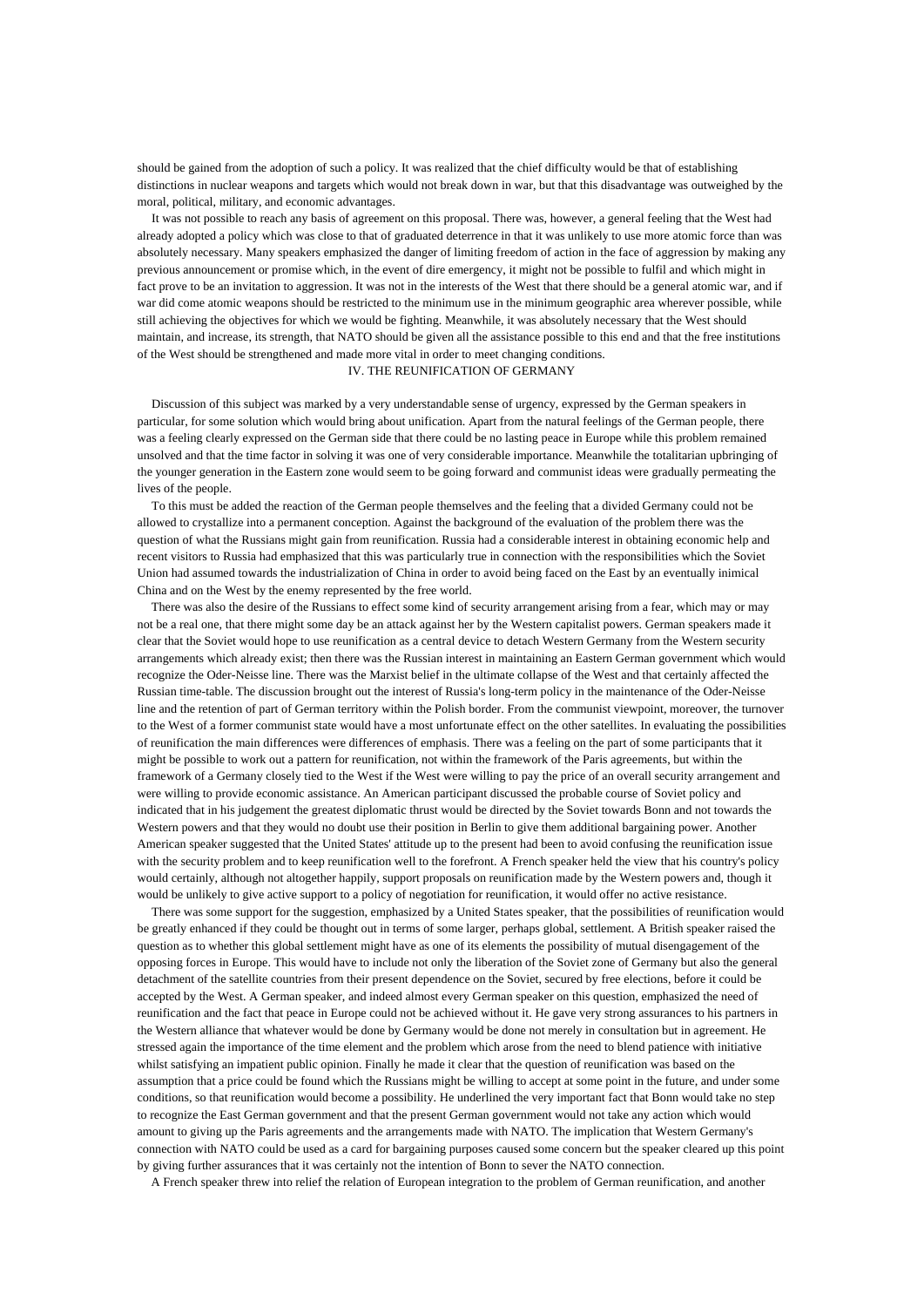should be gained from the adoption of such a policy. It was realized that the chief difficulty would be that of establishing distinctions in nuclear weapons and targets which would not break down in war, but that this disadvantage was outweighed by the moral, political, military, and economic advantages.

It was not possible to reach any basis of agreement on this proposal. There was, however, a general feeling that the West had already adopted a policy which was close to that of graduated deterrence in that it was unlikely to use more atomic force than was absolutely necessary. Many speakers emphasized the danger of limiting freedom of action in the face of aggression by making any previous announcement or promise which, in the event of dire emergency, it might not be possible to fulfil and which might in fact prove to be an invitation to aggression. It was not in the interests of the West that there should be a general atomic war, and if war did come atomic weapons should be restricted to the minimum use in the minimum geographic area wherever possible, while still achieving the objectives for which we would be fighting. Meanwhile, it was absolutely necessary that the West should maintain, and increase, its strength, that NATO should be given all the assistance possible to this end and that the free institutions of the West should be strengthened and made more vital in order to meet changing conditions.

IV. THE REUNIFICATION OF GERMANY

Discussion of this subject was marked by a very understandable sense of urgency, expressed by the German speakers in particular, for some solution which would bring about unification. Apart from the natural feelings of the German people, there was a feeling clearly expressed on the German side that there could be no lasting peace in Europe while this problem remained unsolved and that the time factor in solving it was one of very considerable importance. Meanwhile the totalitarian upbringing of the younger generation in the Eastern zone would seem to be going forward and communist ideas were gradually permeating the lives of the people.

To this must be added the reaction of the German people themselves and the feeling that a divided Germany could not be allowed to crystallize into a permanent conception. Against the background of the evaluation of the problem there was the question of what the Russians might gain from reunification. Russia had a considerable interest in obtaining economic help and recent visitors to Russia had emphasized that this was particularly true in connection with the responsibilities which the Soviet Union had assumed towards the industrialization of China in order to avoid being faced on the East by an eventually inimical China and on the West by the enemy represented by the free world.

There was also the desire of the Russians to effect some kind of security arrangement arising from a fear, which may or may not be a real one, that there might some day be an attack against her by the Western capitalist powers. German speakers made it clear that the Soviet would hope to use reunification as a central device to detach Western Germany from the Western security arrangements which already exist; then there was the Russian interest in maintaining an Eastern German government which would recognize the Oder-Neisse line. There was the Marxist belief in the ultimate collapse of the West and that certainly affected the Russian time-table. The discussion brought out the interest of Russia's long-term policy in the maintenance of the Oder-Neisse line and the retention of part of German territory within the Polish border. From the communist viewpoint, moreover, the turnover to the West of a former communist state would have a most unfortunate effect on the other satellites. In evaluating the possibilities of reunification the main differences were differences of emphasis. There was a feeling on the part of some participants that it might be possible to work out a pattern for reunification, not within the framework of the Paris agreements, but within the framework of a Germany closely tied to the West if the West were willing to pay the price of an overall security arrangement and were willing to provide economic assistance. An American participant discussed the probable course of Soviet policy and indicated that in his judgement the greatest diplomatic thrust would be directed by the Soviet towards Bonn and not towards the Western powers and that they would no doubt use their position in Berlin to give them additional bargaining power. Another American speaker suggested that the United States' attitude up to the present had been to avoid confusing the reunification issue with the security problem and to keep reunification well to the forefront. A French speaker held the view that his country's policy would certainly, although not altogether happily, support proposals on reunification made by the Western powers and, though it would be unlikely to give active support to a policy of negotiation for reunification, it would offer no active resistance.

There was some support for the suggestion, emphasized by a United States speaker, that the possibilities of reunification would be greatly enhanced if they could be thought out in terms of some larger, perhaps global, settlement. A British speaker raised the question as to whether this global settlement might have as one of its elements the possibility of mutual disengagement of the opposing forces in Europe. This would have to include not only the liberation of the Soviet zone of Germany but also the general detachment of the satellite countries from their present dependence on the Soviet, secured by free elections, before it could be accepted by the West. A German speaker, and indeed almost every German speaker on this question, emphasized the need of reunification and the fact that peace in Europe could not be achieved without it. He gave very strong assurances to his partners in the Western alliance that whatever would be done by Germany would be done not merely in consultation but in agreement. He stressed again the importance of the time element and the problem which arose from the need to blend patience with initiative whilst satisfying an impatient public opinion. Finally he made it clear that the question of reunification was based on the assumption that a price could be found which the Russians might be willing to accept at some point in the future, and under some conditions, so that reunification would become a possibility. He underlined the very important fact that Bonn would take no step to recognize the East German government and that the present German government would not take any action which would amount to giving up the Paris agreements and the arrangements made with NATO. The implication that Western Germany's connection with NATO could be used as a card for bargaining purposes caused some concern but the speaker cleared up this point by giving further assurances that it was certainly not the intention of Bonn to sever the NATO connection.

A French speaker threw into relief the relation of European integration to the problem of German reunification, and another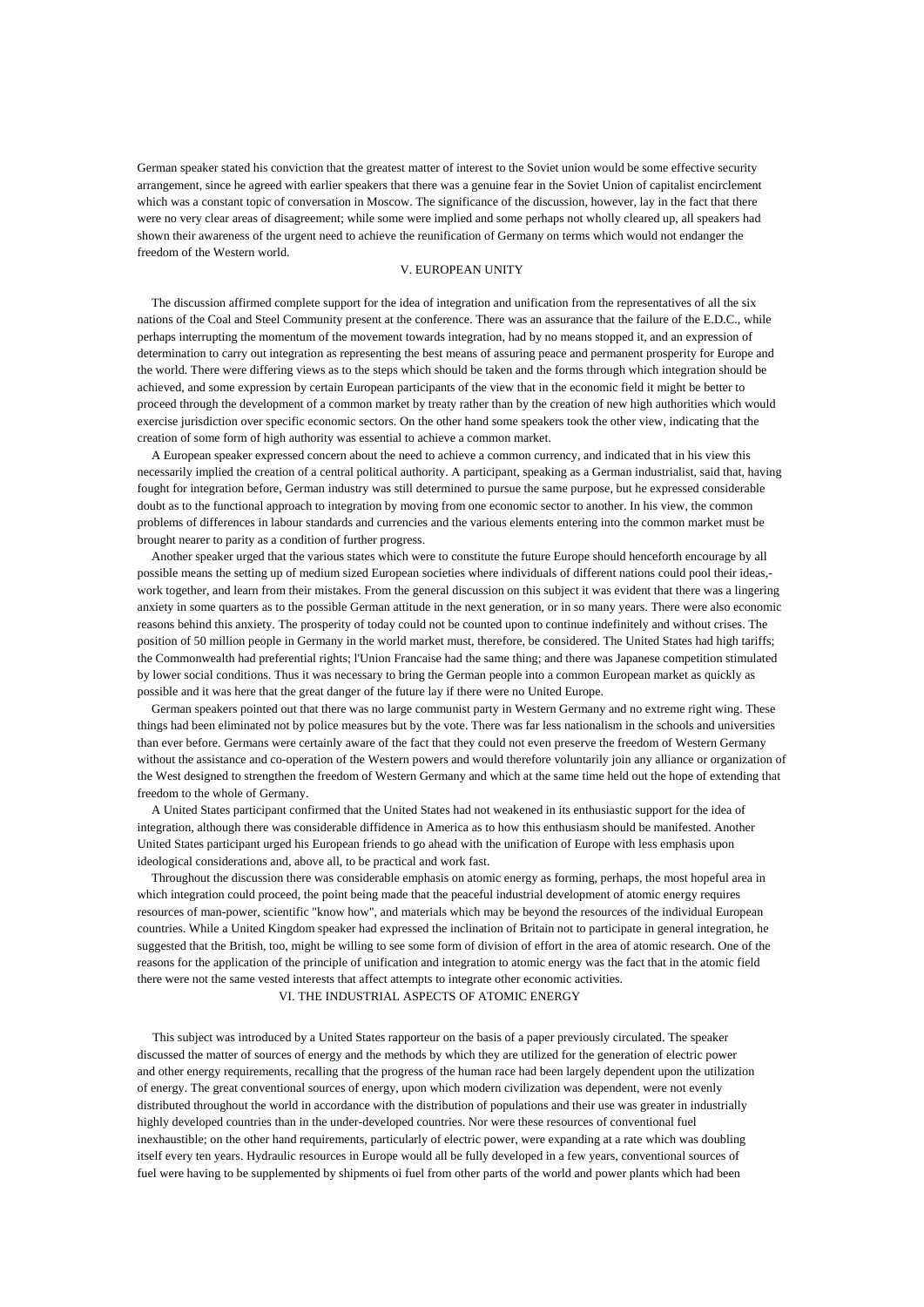German speaker stated his conviction that the greatest matter of interest to the Soviet union would be some effective security arrangement, since he agreed with earlier speakers that there was a genuine fear in the Soviet Union of capitalist encirclement which was a constant topic of conversation in Moscow. The significance of the discussion, however, lay in the fact that there were no very clear areas of disagreement; while some were implied and some perhaps not wholly cleared up, all speakers had shown their awareness of the urgent need to achieve the reunification of Germany on terms which would not endanger the freedom of the Western world.

### V. EUROPEAN UNITY

The discussion affirmed complete support for the idea of integration and unification from the representatives of all the six nations of the Coal and Steel Community present at the conference. There was an assurance that the failure of the E.D.C., while perhaps interrupting the momentum of the movement towards integration, had by no means stopped it, and an expression of determination to carry out integration as representing the best means of assuring peace and permanent prosperity for Europe and the world. There were differing views as to the steps which should be taken and the forms through which integration should be achieved, and some expression by certain European participants of the view that in the economic field it might be better to proceed through the development of a common market by treaty rather than by the creation of new high authorities which would exercise jurisdiction over specific economic sectors. On the other hand some speakers took the other view, indicating that the creation of some form of high authority was essential to achieve a common market.

A European speaker expressed concern about the need to achieve a common currency, and indicated that in his view this necessarily implied the creation of a central political authority. A participant, speaking as a German industrialist, said that, having fought for integration before, German industry was still determined to pursue the same purpose, but he expressed considerable doubt as to the functional approach to integration by moving from one economic sector to another. In his view, the common problems of differences in labour standards and currencies and the various elements entering into the common market must be brought nearer to parity as a condition of further progress.

Another speaker urged that the various states which were to constitute the future Europe should henceforth encourage by all possible means the setting up of medium sized European societies where individuals of different nations could pool their ideas, work together, and learn from their mistakes. From the general discussion on this subject it was evident that there was a lingering anxiety in some quarters as to the possible German attitude in the next generation, or in so many years. There were also economic reasons behind this anxiety. The prosperity of today could not be counted upon to continue indefinitely and without crises. The position of 50 million people in Germany in the world market must, therefore, be considered. The United States had high tariffs; the Commonwealth had preferential rights; l'Union Francaise had the same thing; and there was Japanese competition stimulated by lower social conditions. Thus it was necessary to bring the German people into a common European market as quickly as possible and it was here that the great danger of the future lay if there were no United Europe.

German speakers pointed out that there was no large communist party in Western Germany and no extreme right wing. These things had been eliminated not by police measures but by the vote. There was far less nationalism in the schools and universities than ever before. Germans were certainly aware of the fact that they could not even preserve the freedom of Western Germany without the assistance and co-operation of the Western powers and would therefore voluntarily join any alliance or organization of the West designed to strengthen the freedom of Western Germany and which at the same time held out the hope of extending that freedom to the whole of Germany.

A United States participant confirmed that the United States had not weakened in its enthusiastic support for the idea of integration, although there was considerable diffidence in America as to how this enthusiasm should be manifested. Another United States participant urged his European friends to go ahead with the unification of Europe with less emphasis upon ideological considerations and, above all, to be practical and work fast.

Throughout the discussion there was considerable emphasis on atomic energy as forming, perhaps, the most hopeful area in which integration could proceed, the point being made that the peaceful industrial development of atomic energy requires resources of man-power, scientific "know how", and materials which may be beyond the resources of the individual European countries. While a United Kingdom speaker had expressed the inclination of Britain not to participate in general integration, he suggested that the British, too, might be willing to see some form of division of effort in the area of atomic research. One of the reasons for the application of the principle of unification and integration to atomic energy was the fact that in the atomic field there were not the same vested interests that affect attempts to integrate other economic activities.

## VI. THE INDUSTRIAL ASPECTS OF ATOMIC ENERGY

This subject was introduced by a United States rapporteur on the basis of a paper previously circulated. The speaker discussed the matter of sources of energy and the methods by which they are utilized for the generation of electric power and other energy requirements, recalling that the progress of the human race had been largely dependent upon the utilization of energy. The great conventional sources of energy, upon which modern civilization was dependent, were not evenly distributed throughout the world in accordance with the distribution of populations and their use was greater in industrially highly developed countries than in the under-developed countries. Nor were these resources of conventional fuel inexhaustible; on the other hand requirements, particularly of electric power, were expanding at a rate which was doubling itself every ten years. Hydraulic resources in Europe would all be fully developed in a few years, conventional sources of fuel were having to be supplemented by shipments oi fuel from other parts of the world and power plants which had been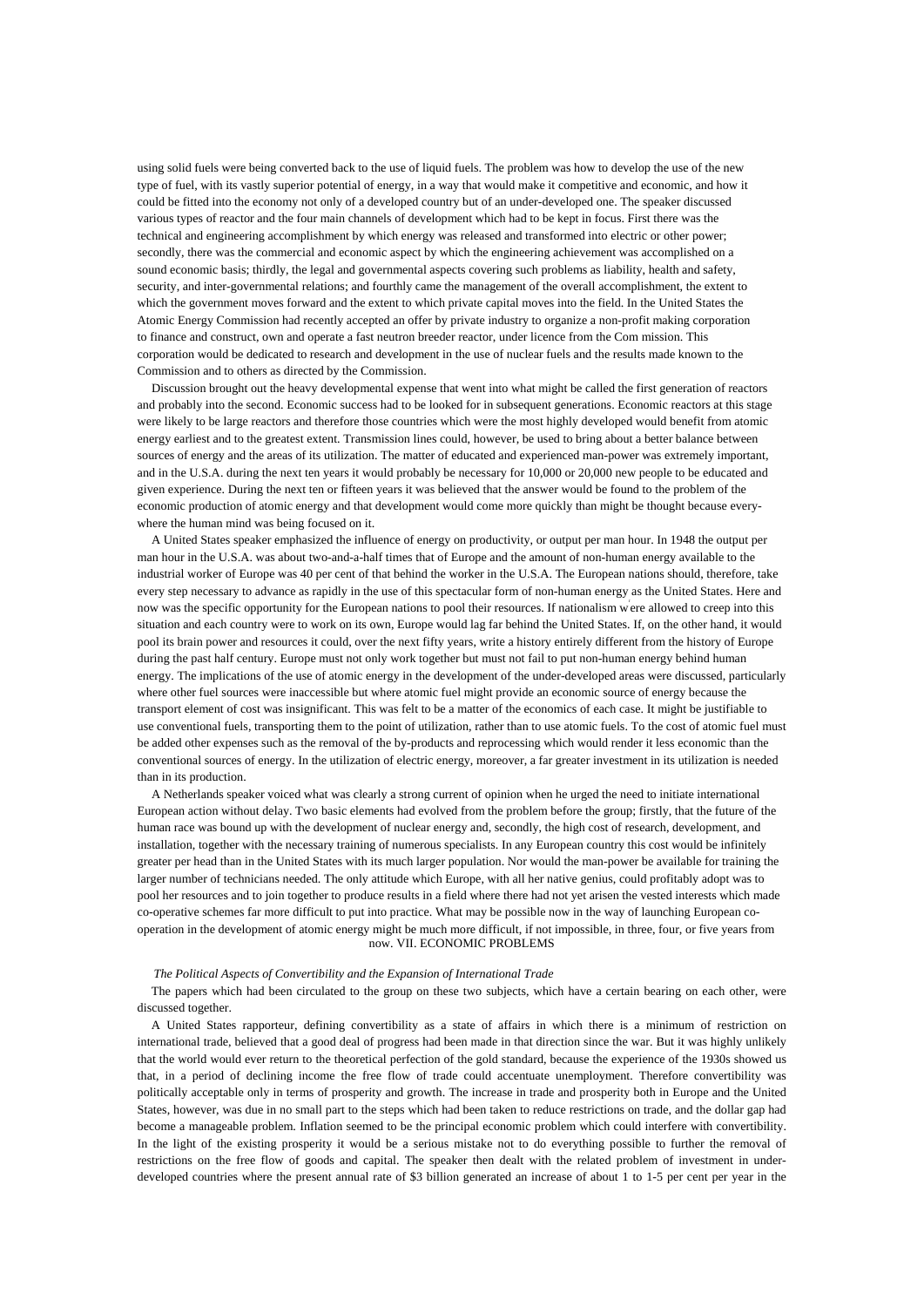using solid fuels were being converted back to the use of liquid fuels. The problem was how to develop the use of the new type of fuel, with its vastly superior potential of energy, in a way that would make it competitive and economic, and how it could be fitted into the economy not only of a developed country but of an under-developed one. The speaker discussed various types of reactor and the four main channels of development which had to be kept in focus. First there was the technical and engineering accomplishment by which energy was released and transformed into electric or other power; secondly, there was the commercial and economic aspect by which the engineering achievement was accomplished on a sound economic basis; thirdly, the legal and governmental aspects covering such problems as liability, health and safety, security, and inter-governmental relations; and fourthly came the management of the overall accomplishment, the extent to which the government moves forward and the extent to which private capital moves into the field. In the United States the Atomic Energy Commission had recently accepted an offer by private industry to organize a non-profit making corporation to finance and construct, own and operate a fast neutron breeder reactor, under licence from the Com mission. This corporation would be dedicated to research and development in the use of nuclear fuels and the results made known to the Commission and to others as directed by the Commission.

Discussion brought out the heavy developmental expense that went into what might be called the first generation of reactors and probably into the second. Economic success had to be looked for in subsequent generations. Economic reactors at this stage were likely to be large reactors and therefore those countries which were the most highly developed would benefit from atomic energy earliest and to the greatest extent. Transmission lines could, however, be used to bring about a better balance between sources of energy and the areas of its utilization. The matter of educated and experienced man-power was extremely important, and in the U.S.A. during the next ten years it would probably be necessary for 10,000 or 20,000 new people to be educated and given experience. During the next ten or fifteen years it was believed that the answer would be found to the problem of the economic production of atomic energy and that development would come more quickly than might be thought because everywhere the human mind was being focused on it.

A United States speaker emphasized the influence of energy on productivity, or output per man hour. In 1948 the output per man hour in the U.S.A. was about two-and-a-half times that of Europe and the amount of non-human energy available to the industrial worker of Europe was 40 per cent of that behind the worker in the U.S.A. The European nations should, therefore, take every step necessary to advance as rapidly in the use of this spectacular form of non-human energy as the United States. Here and now was the specific opportunity for the European nations to pool their resources. If nationalism were allowed to creep into this situation and each country were to work on its own, Europe would lag far behind the United States. If, on the other hand, it would pool its brain power and resources it could, over the next fifty years, write a history entirely different from the history of Europe during the past half century. Europe must not only work together but must not fail to put non-human energy behind human energy. The implications of the use of atomic energy in the development of the under-developed areas were discussed, particularly where other fuel sources were inaccessible but where atomic fuel might provide an economic source of energy because the transport element of cost was insignificant. This was felt to be a matter of the economics of each case. It might be justifiable to use conventional fuels, transporting them to the point of utilization, rather than to use atomic fuels. To the cost of atomic fuel must be added other expenses such as the removal of the by-products and reprocessing which would render it less economic than the conventional sources of energy. In the utilization of electric energy, moreover, a far greater investment in its utilization is needed than in its production.

A Netherlands speaker voiced what was clearly a strong current of opinion when he urged the need to initiate international European action without delay. Two basic elements had evolved from the problem before the group; firstly, that the future of the human race was bound up with the development of nuclear energy and, secondly, the high cost of research, development, and installation, together with the necessary training of numerous specialists. In any European country this cost would be infinitely greater per head than in the United States with its much larger population. Nor would the man-power be available for training the larger number of technicians needed. The only attitude which Europe, with all her native genius, could profitably adopt was to pool her resources and to join together to produce results in a field where there had not yet arisen the vested interests which made co-operative schemes far more difficult to put into practice. What may be possible now in the way of launching European cooperation in the development of atomic energy might be much more difficult, if not impossible, in three, four, or five years from now. VII. ECONOMIC PROBLEMS

#### *The Political Aspects of Convertibility and the Expansion of International Trade*

The papers which had been circulated to the group on these two subjects, which have a certain bearing on each other, were discussed together.

A United States rapporteur, defining convertibility as a state of affairs in which there is a minimum of restriction on international trade, believed that a good deal of progress had been made in that direction since the war. But it was highly unlikely that the world would ever return to the theoretical perfection of the gold standard, because the experience of the 1930s showed us that, in a period of declining income the free flow of trade could accentuate unemployment. Therefore convertibility was politically acceptable only in terms of prosperity and growth. The increase in trade and prosperity both in Europe and the United States, however, was due in no small part to the steps which had been taken to reduce restrictions on trade, and the dollar gap had become a manageable problem. Inflation seemed to be the principal economic problem which could interfere with convertibility. In the light of the existing prosperity it would be a serious mistake not to do everything possible to further the removal of restrictions on the free flow of goods and capital. The speaker then dealt with the related problem of investment in underdeveloped countries where the present annual rate of \$3 billion generated an increase of about 1 to 1-5 per cent per year in the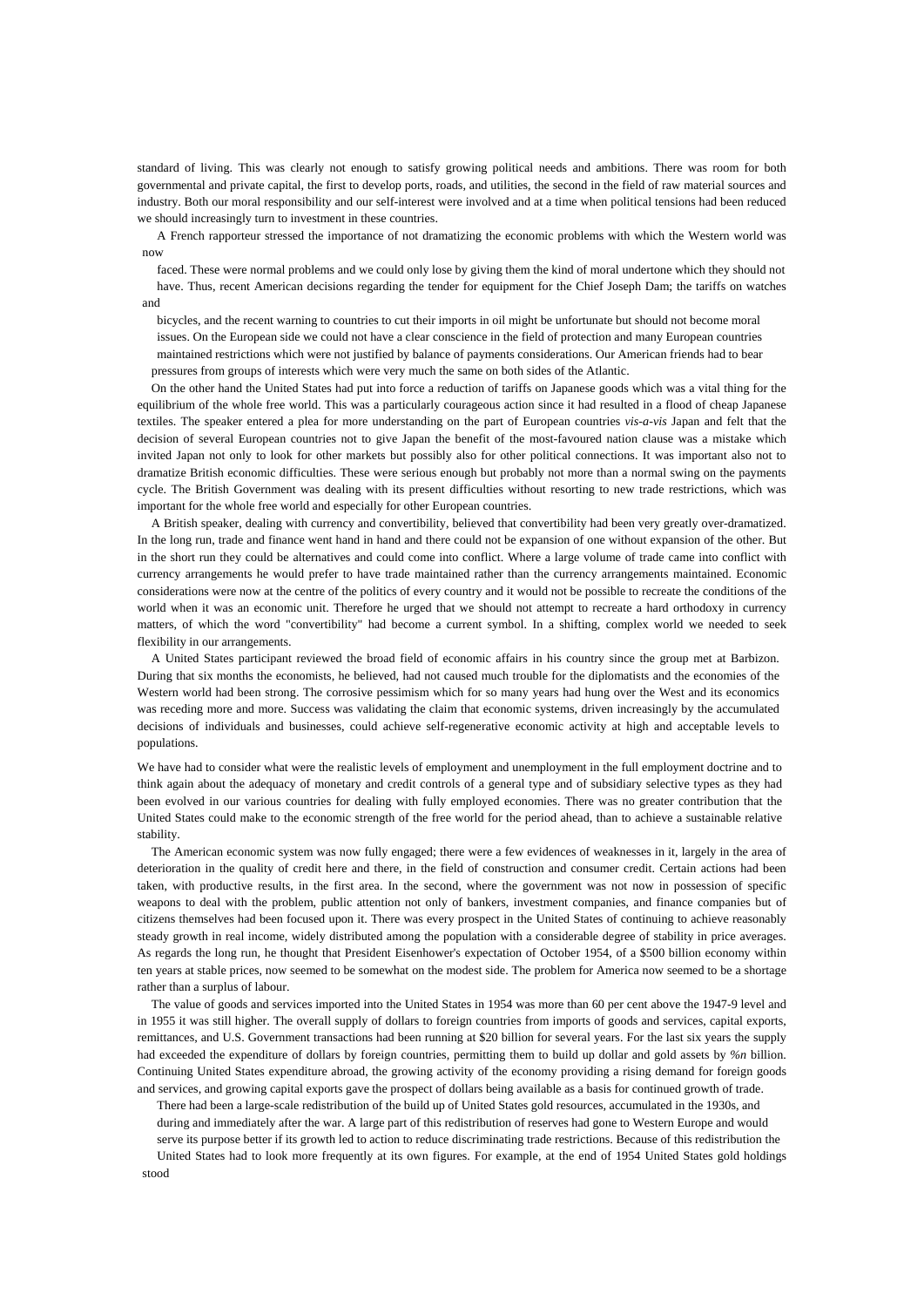standard of living. This was clearly not enough to satisfy growing political needs and ambitions. There was room for both governmental and private capital, the first to develop ports, roads, and utilities, the second in the field of raw material sources and industry. Both our moral responsibility and our self-interest were involved and at a time when political tensions had been reduced we should increasingly turn to investment in these countries.

A French rapporteur stressed the importance of not dramatizing the economic problems with which the Western world was now

faced. These were normal problems and we could only lose by giving them the kind of moral undertone which they should not have. Thus, recent American decisions regarding the tender for equipment for the Chief Joseph Dam; the tariffs on watches and

bicycles, and the recent warning to countries to cut their imports in oil might be unfortunate but should not become moral issues. On the European side we could not have a clear conscience in the field of protection and many European countries maintained restrictions which were not justified by balance of payments considerations. Our American friends had to bear pressures from groups of interests which were very much the same on both sides of the Atlantic.

On the other hand the United States had put into force a reduction of tariffs on Japanese goods which was a vital thing for the equilibrium of the whole free world. This was a particularly courageous action since it had resulted in a flood of cheap Japanese textiles. The speaker entered a plea for more understanding on the part of European countries *vis-a-vis* Japan and felt that the decision of several European countries not to give Japan the benefit of the most-favoured nation clause was a mistake which invited Japan not only to look for other markets but possibly also for other political connections. It was important also not to dramatize British economic difficulties. These were serious enough but probably not more than a normal swing on the payments cycle. The British Government was dealing with its present difficulties without resorting to new trade restrictions, which was important for the whole free world and especially for other European countries.

A British speaker, dealing with currency and convertibility, believed that convertibility had been very greatly over-dramatized. In the long run, trade and finance went hand in hand and there could not be expansion of one without expansion of the other. But in the short run they could be alternatives and could come into conflict. Where a large volume of trade came into conflict with currency arrangements he would prefer to have trade maintained rather than the currency arrangements maintained. Economic considerations were now at the centre of the politics of every country and it would not be possible to recreate the conditions of the world when it was an economic unit. Therefore he urged that we should not attempt to recreate a hard orthodoxy in currency matters, of which the word "convertibility" had become a current symbol. In a shifting, complex world we needed to seek flexibility in our arrangements.

A United States participant reviewed the broad field of economic affairs in his country since the group met at Barbizon. During that six months the economists, he believed, had not caused much trouble for the diplomatists and the economies of the Western world had been strong. The corrosive pessimism which for so many years had hung over the West and its economics was receding more and more. Success was validating the claim that economic systems, driven increasingly by the accumulated decisions of individuals and businesses, could achieve self-regenerative economic activity at high and acceptable levels to populations.

We have had to consider what were the realistic levels of employment and unemployment in the full employment doctrine and to think again about the adequacy of monetary and credit controls of a general type and of subsidiary selective types as they had been evolved in our various countries for dealing with fully employed economies. There was no greater contribution that the United States could make to the economic strength of the free world for the period ahead, than to achieve a sustainable relative stability.

The American economic system was now fully engaged; there were a few evidences of weaknesses in it, largely in the area of deterioration in the quality of credit here and there, in the field of construction and consumer credit. Certain actions had been taken, with productive results, in the first area. In the second, where the government was not now in possession of specific weapons to deal with the problem, public attention not only of bankers, investment companies, and finance companies but of citizens themselves had been focused upon it. There was every prospect in the United States of continuing to achieve reasonably steady growth in real income, widely distributed among the population with a considerable degree of stability in price averages. As regards the long run, he thought that President Eisenhower's expectation of October 1954, of a \$500 billion economy within ten years at stable prices, now seemed to be somewhat on the modest side. The problem for America now seemed to be a shortage rather than a surplus of labour.

The value of goods and services imported into the United States in 1954 was more than 60 per cent above the 1947-9 level and in 1955 it was still higher. The overall supply of dollars to foreign countries from imports of goods and services, capital exports, remittances, and U.S. Government transactions had been running at \$20 billion for several years. For the last six years the supply had exceeded the expenditure of dollars by foreign countries, permitting them to build up dollar and gold assets by *%n* billion. Continuing United States expenditure abroad, the growing activity of the economy providing a rising demand for foreign goods and services, and growing capital exports gave the prospect of dollars being available as a basis for continued growth of trade.

There had been a large-scale redistribution of the build up of United States gold resources, accumulated in the 1930s, and during and immediately after the war. A large part of this redistribution of reserves had gone to Western Europe and would serve its purpose better if its growth led to action to reduce discriminating trade restrictions. Because of this redistribution the United States had to look more frequently at its own figures. For example, at the end of 1954 United States gold holdings stood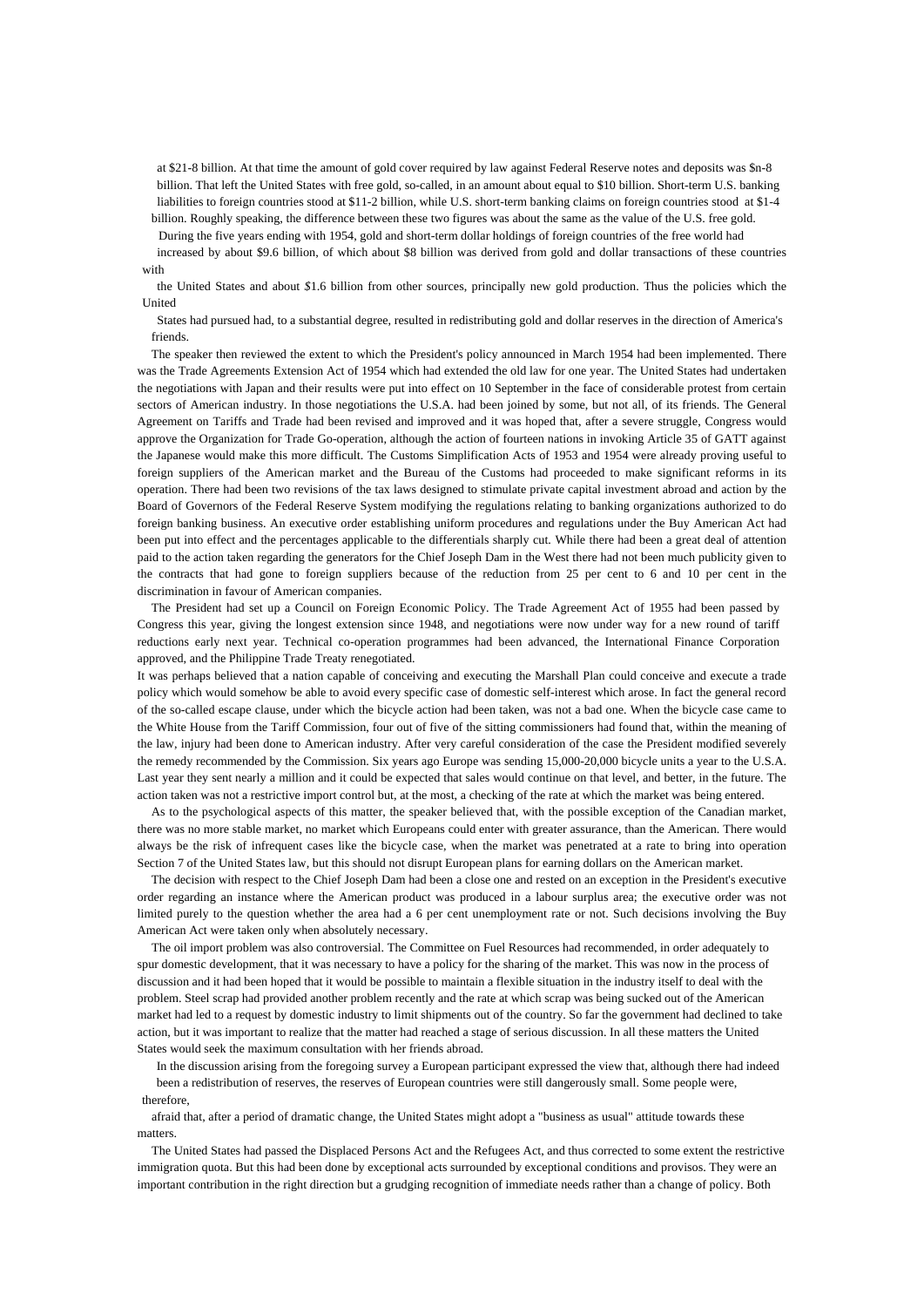at \$21-8 billion. At that time the amount of gold cover required by law against Federal Reserve notes and deposits was \$n-8 billion. That left the United States with free gold, so-called, in an amount about equal to \$10 billion. Short-term U.S. banking liabilities to foreign countries stood at \$11-2 billion, while U.S. short-term banking claims on foreign countries stood at \$1-4 billion. Roughly speaking, the difference between these two figures was about the same as the value of the U.S. free gold.

During the five years ending with 1954, gold and short-term dollar holdings of foreign countries of the free world had

increased by about \$9.6 billion, of which about \$8 billion was derived from gold and dollar transactions of these countries with

the United States and about *\$*1.6 billion from other sources, principally new gold production. Thus the policies which the United

States had pursued had, to a substantial degree, resulted in redistributing gold and dollar reserves in the direction of America's friends.

The speaker then reviewed the extent to which the President's policy announced in March 1954 had been implemented. There was the Trade Agreements Extension Act of 1954 which had extended the old law for one year. The United States had undertaken the negotiations with Japan and their results were put into effect on 10 September in the face of considerable protest from certain sectors of American industry. In those negotiations the U.S.A. had been joined by some, but not all, of its friends. The General Agreement on Tariffs and Trade had been revised and improved and it was hoped that, after a severe struggle, Congress would approve the Organization for Trade Go-operation, although the action of fourteen nations in invoking Article 35 of GATT against the Japanese would make this more difficult. The Customs Simplification Acts of 1953 and 1954 were already proving useful to foreign suppliers of the American market and the Bureau of the Customs had proceeded to make significant reforms in its operation. There had been two revisions of the tax laws designed to stimulate private capital investment abroad and action by the Board of Governors of the Federal Reserve System modifying the regulations relating to banking organizations authorized to do foreign banking business. An executive order establishing uniform procedures and regulations under the Buy American Act had been put into effect and the percentages applicable to the differentials sharply cut. While there had been a great deal of attention paid to the action taken regarding the generators for the Chief Joseph Dam in the West there had not been much publicity given to the contracts that had gone to foreign suppliers because of the reduction from 25 per cent to 6 and 10 per cent in the discrimination in favour of American companies.

The President had set up a Council on Foreign Economic Policy. The Trade Agreement Act of 1955 had been passed by Congress this year, giving the longest extension since 1948, and negotiations were now under way for a new round of tariff reductions early next year. Technical co-operation programmes had been advanced, the International Finance Corporation approved, and the Philippine Trade Treaty renegotiated.

It was perhaps believed that a nation capable of conceiving and executing the Marshall Plan could conceive and execute a trade policy which would somehow be able to avoid every specific case of domestic self-interest which arose. In fact the general record of the so-called escape clause, under which the bicycle action had been taken, was not a bad one. When the bicycle case came to the White House from the Tariff Commission, four out of five of the sitting commissioners had found that, within the meaning of the law, injury had been done to American industry. After very careful consideration of the case the President modified severely the remedy recommended by the Commission. Six years ago Europe was sending 15,000-20,000 bicycle units a year to the U.S.A. Last year they sent nearly a million and it could be expected that sales would continue on that level, and better, in the future. The action taken was not a restrictive import control but, at the most, a checking of the rate at which the market was being entered.

As to the psychological aspects of this matter, the speaker believed that, with the possible exception of the Canadian market, there was no more stable market, no market which Europeans could enter with greater assurance, than the American. There would always be the risk of infrequent cases like the bicycle case, when the market was penetrated at a rate to bring into operation Section 7 of the United States law, but this should not disrupt European plans for earning dollars on the American market.

The decision with respect to the Chief Joseph Dam had been a close one and rested on an exception in the President's executive order regarding an instance where the American product was produced in a labour surplus area; the executive order was not limited purely to the question whether the area had a 6 per cent unemployment rate or not. Such decisions involving the Buy American Act were taken only when absolutely necessary.

The oil import problem was also controversial. The Committee on Fuel Resources had recommended, in order adequately to spur domestic development, that it was necessary to have a policy for the sharing of the market. This was now in the process of discussion and it had been hoped that it would be possible to maintain a flexible situation in the industry itself to deal with the problem. Steel scrap had provided another problem recently and the rate at which scrap was being sucked out of the American market had led to a request by domestic industry to limit shipments out of the country. So far the government had declined to take action, but it was important to realize that the matter had reached a stage of serious discussion. In all these matters the United States would seek the maximum consultation with her friends abroad.

In the discussion arising from the foregoing survey a European participant expressed the view that, although there had indeed been a redistribution of reserves, the reserves of European countries were still dangerously small. Some people were, therefore,

afraid that, after a period of dramatic change, the United States might adopt a "business as usual" attitude towards these matters.

The United States had passed the Displaced Persons Act and the Refugees Act, and thus corrected to some extent the restrictive immigration quota. But this had been done by exceptional acts surrounded by exceptional conditions and provisos. They were an important contribution in the right direction but a grudging recognition of immediate needs rather than a change of policy. Both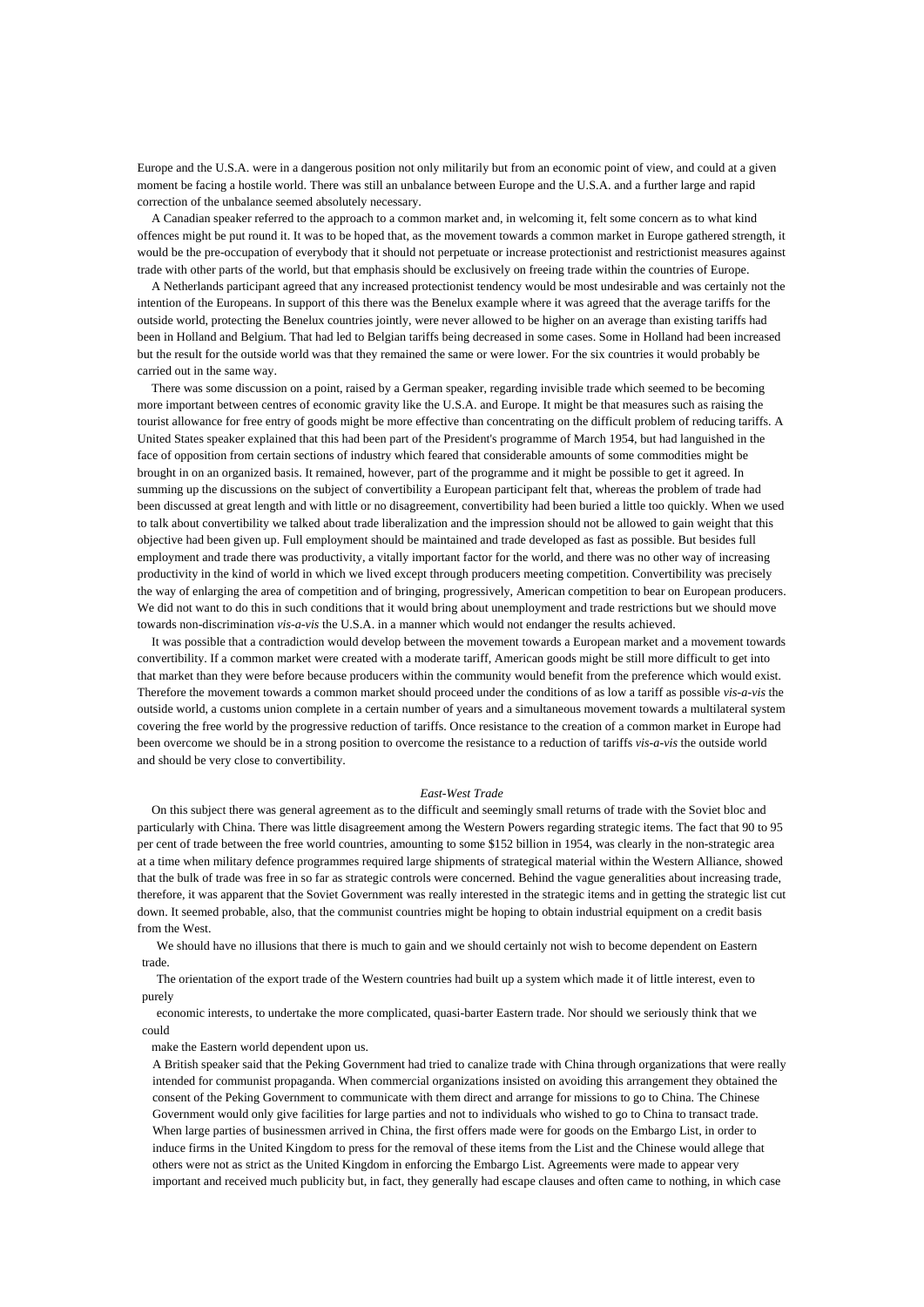Europe and the U.S.A. were in a dangerous position not only militarily but from an economic point of view, and could at a given moment be facing a hostile world. There was still an unbalance between Europe and the U.S.A. and a further large and rapid correction of the unbalance seemed absolutely necessary.

A Canadian speaker referred to the approach to a common market and, in welcoming it, felt some concern as to what kind offences might be put round it. It was to be hoped that, as the movement towards a common market in Europe gathered strength, it would be the pre-occupation of everybody that it should not perpetuate or increase protectionist and restrictionist measures against trade with other parts of the world, but that emphasis should be exclusively on freeing trade within the countries of Europe.

A Netherlands participant agreed that any increased protectionist tendency would be most undesirable and was certainly not the intention of the Europeans. In support of this there was the Benelux example where it was agreed that the average tariffs for the outside world, protecting the Benelux countries jointly, were never allowed to be higher on an average than existing tariffs had been in Holland and Belgium. That had led to Belgian tariffs being decreased in some cases. Some in Holland had been increased but the result for the outside world was that they remained the same or were lower. For the six countries it would probably be carried out in the same way.

There was some discussion on a point, raised by a German speaker, regarding invisible trade which seemed to be becoming more important between centres of economic gravity like the U.S.A. and Europe. It might be that measures such as raising the tourist allowance for free entry of goods might be more effective than concentrating on the difficult problem of reducing tariffs. A United States speaker explained that this had been part of the President's programme of March 1954, but had languished in the face of opposition from certain sections of industry which feared that considerable amounts of some commodities might be brought in on an organized basis. It remained, however, part of the programme and it might be possible to get it agreed. In summing up the discussions on the subject of convertibility a European participant felt that, whereas the problem of trade had been discussed at great length and with little or no disagreement, convertibility had been buried a little too quickly. When we used to talk about convertibility we talked about trade liberalization and the impression should not be allowed to gain weight that this objective had been given up. Full employment should be maintained and trade developed as fast as possible. But besides full employment and trade there was productivity, a vitally important factor for the world, and there was no other way of increasing productivity in the kind of world in which we lived except through producers meeting competition. Convertibility was precisely the way of enlarging the area of competition and of bringing, progressively, American competition to bear on European producers. We did not want to do this in such conditions that it would bring about unemployment and trade restrictions but we should move towards non-discrimination *vis-a-vis* the U.S.A. in a manner which would not endanger the results achieved.

It was possible that a contradiction would develop between the movement towards a European market and a movement towards convertibility. If a common market were created with a moderate tariff, American goods might be still more difficult to get into that market than they were before because producers within the community would benefit from the preference which would exist. Therefore the movement towards a common market should proceed under the conditions of as low a tariff as possible *vis-a-vis* the outside world, a customs union complete in a certain number of years and a simultaneous movement towards a multilateral system covering the free world by the progressive reduction of tariffs. Once resistance to the creation of a common market in Europe had been overcome we should be in a strong position to overcome the resistance to a reduction of tariffs *vis-a-vis* the outside world and should be very close to convertibility.

## *East-West Trade*

On this subject there was general agreement as to the difficult and seemingly small returns of trade with the Soviet bloc and particularly with China. There was little disagreement among the Western Powers regarding strategic items. The fact that 90 to 95 per cent of trade between the free world countries, amounting to some \$152 billion in 1954, was clearly in the non-strategic area at a time when military defence programmes required large shipments of strategical material within the Western Alliance, showed that the bulk of trade was free in so far as strategic controls were concerned. Behind the vague generalities about increasing trade, therefore, it was apparent that the Soviet Government was really interested in the strategic items and in getting the strategic list cut down. It seemed probable, also, that the communist countries might be hoping to obtain industrial equipment on a credit basis from the West.

We should have no illusions that there is much to gain and we should certainly not wish to become dependent on Eastern trade.

The orientation of the export trade of the Western countries had built up a system which made it of little interest, even to purely

economic interests, to undertake the more complicated, quasi-barter Eastern trade. Nor should we seriously think that we could

make the Eastern world dependent upon us.

A British speaker said that the Peking Government had tried to canalize trade with China through organizations that were really intended for communist propaganda. When commercial organizations insisted on avoiding this arrangement they obtained the consent of the Peking Government to communicate with them direct and arrange for missions to go to China. The Chinese Government would only give facilities for large parties and not to individuals who wished to go to China to transact trade. When large parties of businessmen arrived in China, the first offers made were for goods on the Embargo List, in order to induce firms in the United Kingdom to press for the removal of these items from the List and the Chinese would allege that others were not as strict as the United Kingdom in enforcing the Embargo List. Agreements were made to appear very important and received much publicity but, in fact, they generally had escape clauses and often came to nothing, in which case